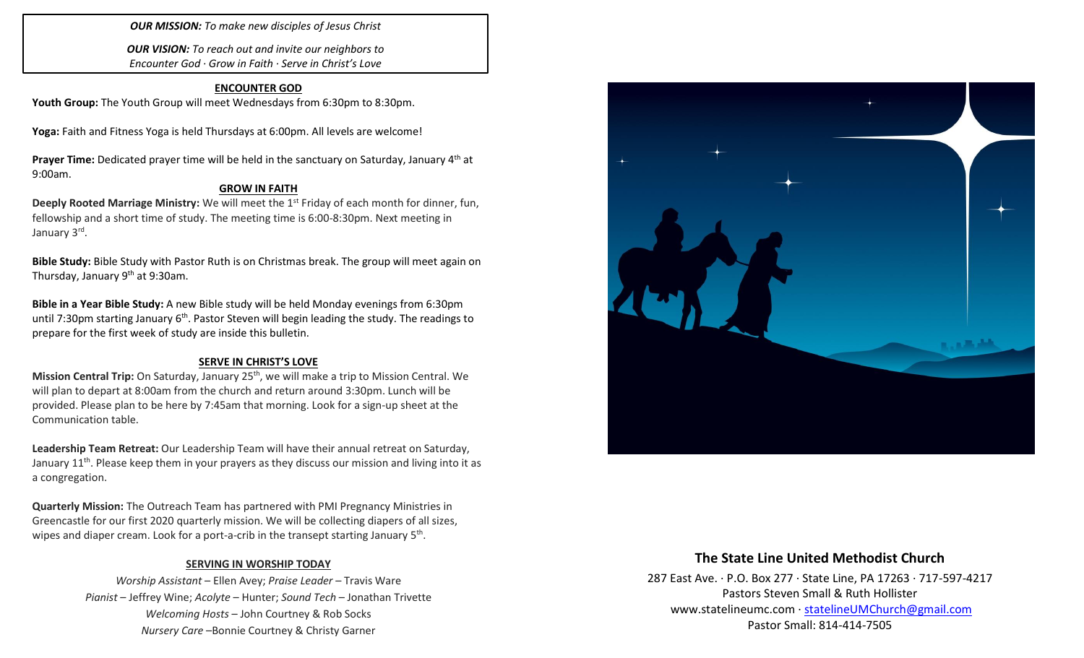### *OUR MISSION: To make new disciples of Jesus Christ*

*OUR VISION: To reach out and invite our neighbors to Encounter God · Grow in Faith · Serve in Christ's Love*

### **ENCOUNTER GOD**

Youth Group: The Youth Group will meet Wednesdays from 6:30pm to 8:30pm.

**Yoga:** Faith and Fitness Yoga is held Thursdays at 6:00pm. All levels are welcome!

**Prayer Time:** Dedicated prayer time will be held in the sanctuary on Saturday, January 4th at 9:00am.

### **GROW IN FAITH**

**Deeply Rooted Marriage Ministry:** We will meet the 1<sup>st</sup> Friday of each month for dinner, fun, fellowship and a short time of study. The meeting time is 6:00-8:30pm. Next meeting in January 3<sup>rd</sup>.

**Bible Study:** Bible Study with Pastor Ruth is on Christmas break. The group will meet again on Thursday, January  $9<sup>th</sup>$  at 9:30am.

**Bible in a Year Bible Study:** A new Bible study will be held Monday evenings from 6:30pm until 7:30pm starting January  $6<sup>th</sup>$ . Pastor Steven will begin leading the study. The readings to prepare for the first week of study are inside this bulletin.

#### **SERVE IN CHRIST'S LOVE**

**Mission Central Trip:** On Saturday, January 25<sup>th</sup>, we will make a trip to Mission Central. We will plan to depart at 8:00am from the church and return around 3:30pm. Lunch will be provided. Please plan to be here by 7:45am that morning. Look for a sign-up sheet at the Communication table.

**Leadership Team Retreat:** Our Leadership Team will have their annual retreat on Saturday, January  $11<sup>th</sup>$ . Please keep them in your prayers as they discuss our mission and living into it as a congregation.

**Quarterly Mission:** The Outreach Team has partnered with PMI Pregnancy Ministries in Greencastle for our first 2020 quarterly mission. We will be collecting diapers of all sizes, wipes and diaper cream. Look for a port-a-crib in the transept starting January 5<sup>th</sup>.

### **SERVING IN WORSHIP TODAY**

*Worship Assistant* – Ellen Avey; *Praise Leader* – Travis Ware *Pianist* – Jeffrey Wine; *Acolyte* – Hunter; *Sound Tech* – Jonathan Trivette *Welcoming Hosts* – John Courtney & Rob Socks *Nursery Care* –Bonnie Courtney & Christy Garner



# **The State Line United Methodist Church**

287 East Ave. · P.O. Box 277 · State Line, PA 17263 · 717-597-4217 Pastors Steven Small & Ruth Hollister [www.statelineumc.com](http://www.statelineumc.com/) · [statelineUMChurch@gmail.com](mailto:statelineUMChurch@gmail.com) Pastor Small: 814-414-7505